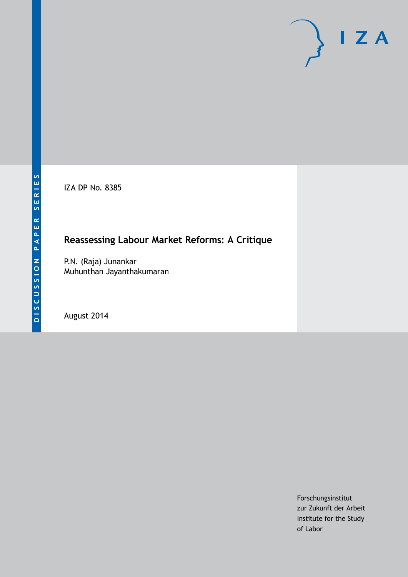IZA DP No. 8385

# **Reassessing Labour Market Reforms: A Critique**

P.N. (Raja) Junankar Muhunthan Jayanthakumaran

August 2014

Forschungsinstitut zur Zukunft der Arbeit Institute for the Study of Labor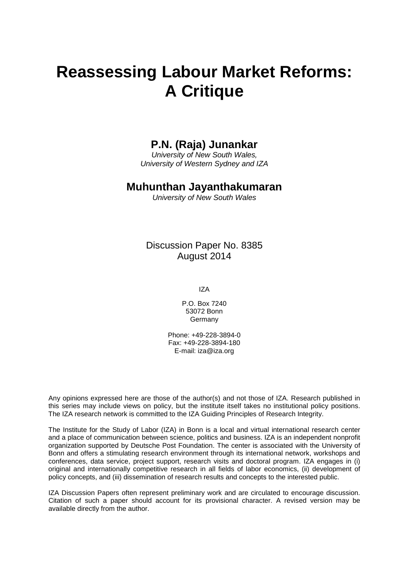# **Reassessing Labour Market Reforms: A Critique**

# **P.N. (Raja) Junankar**

*University of New South Wales, University of Western Sydney and IZA*

### **Muhunthan Jayanthakumaran**

*University of New South Wales*

Discussion Paper No. 8385 August 2014

IZA

P.O. Box 7240 53072 Bonn Germany

Phone: +49-228-3894-0 Fax: +49-228-3894-180 E-mail: [iza@iza.org](mailto:iza@iza.org)

Any opinions expressed here are those of the author(s) and not those of IZA. Research published in this series may include views on policy, but the institute itself takes no institutional policy positions. The IZA research network is committed to the IZA Guiding Principles of Research Integrity.

The Institute for the Study of Labor (IZA) in Bonn is a local and virtual international research center and a place of communication between science, politics and business. IZA is an independent nonprofit organization supported by Deutsche Post Foundation. The center is associated with the University of Bonn and offers a stimulating research environment through its international network, workshops and conferences, data service, project support, research visits and doctoral program. IZA engages in (i) original and internationally competitive research in all fields of labor economics, (ii) development of policy concepts, and (iii) dissemination of research results and concepts to the interested public.

<span id="page-1-0"></span>IZA Discussion Papers often represent preliminary work and are circulated to encourage discussion. Citation of such a paper should account for its provisional character. A revised version may be available directly from the author.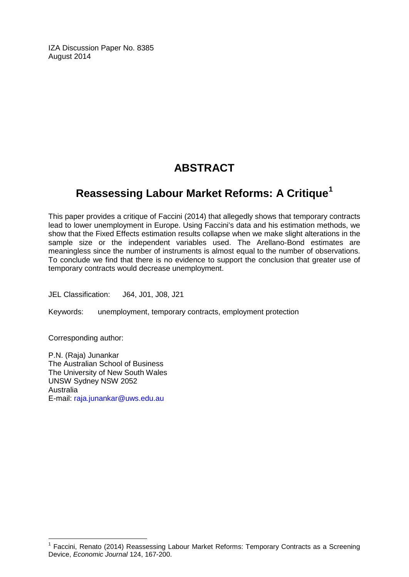IZA Discussion Paper No. 8385 August 2014

# **ABSTRACT**

# **Reassessing Labour Market Reforms: A Critique[1](#page-1-0)**

This paper provides a critique of Faccini (2014) that allegedly shows that temporary contracts lead to lower unemployment in Europe. Using Faccini's data and his estimation methods, we show that the Fixed Effects estimation results collapse when we make slight alterations in the sample size or the independent variables used. The Arellano-Bond estimates are meaningless since the number of instruments is almost equal to the number of observations. To conclude we find that there is no evidence to support the conclusion that greater use of temporary contracts would decrease unemployment.

JEL Classification: J64, J01, J08, J21

Keywords: unemployment, temporary contracts, employment protection

Corresponding author:

P.N. (Raja) Junankar The Australian School of Business The University of New South Wales UNSW Sydney NSW 2052 Australia E-mail: [raja.junankar@uws.edu.au](mailto:raja.junankar@uws.edu.au)

<sup>1</sup> Faccini, Renato (2014) Reassessing Labour Market Reforms: Temporary Contracts as a Screening Device, *Economic Journal* 124, 167-200.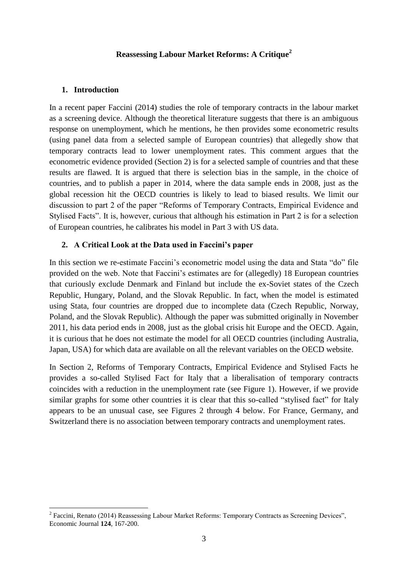#### **Reassessing Labour Market Reforms: A Critique<sup>2</sup>**

#### **1. Introduction**

1

In a recent paper Faccini (2014) studies the role of temporary contracts in the labour market as a screening device. Although the theoretical literature suggests that there is an ambiguous response on unemployment, which he mentions, he then provides some econometric results (using panel data from a selected sample of European countries) that allegedly show that temporary contracts lead to lower unemployment rates. This comment argues that the econometric evidence provided (Section 2) is for a selected sample of countries and that these results are flawed. It is argued that there is selection bias in the sample, in the choice of countries, and to publish a paper in 2014, where the data sample ends in 2008, just as the global recession hit the OECD countries is likely to lead to biased results. We limit our discussion to part 2 of the paper "Reforms of Temporary Contracts, Empirical Evidence and Stylised Facts". It is, however, curious that although his estimation in Part 2 is for a selection of European countries, he calibrates his model in Part 3 with US data.

#### **2. A Critical Look at the Data used in Faccini's paper**

In this section we re-estimate Faccini's econometric model using the data and Stata "do" file provided on the web. Note that Faccini's estimates are for (allegedly) 18 European countries that curiously exclude Denmark and Finland but include the ex-Soviet states of the Czech Republic, Hungary, Poland, and the Slovak Republic. In fact, when the model is estimated using Stata, four countries are dropped due to incomplete data (Czech Republic, Norway, Poland, and the Slovak Republic). Although the paper was submitted originally in November 2011, his data period ends in 2008, just as the global crisis hit Europe and the OECD. Again, it is curious that he does not estimate the model for all OECD countries (including Australia, Japan, USA) for which data are available on all the relevant variables on the OECD website.

In Section 2, Reforms of Temporary Contracts, Empirical Evidence and Stylised Facts he provides a so-called Stylised Fact for Italy that a liberalisation of temporary contracts coincides with a reduction in the unemployment rate (see Figure 1). However, if we provide similar graphs for some other countries it is clear that this so-called "stylised fact" for Italy appears to be an unusual case, see Figures 2 through 4 below. For France, Germany, and Switzerland there is no association between temporary contracts and unemployment rates.

 $2^2$  Faccini, Renato (2014) Reassessing Labour Market Reforms: Temporary Contracts as Screening Devices", Economic Journal **124**, 167-200.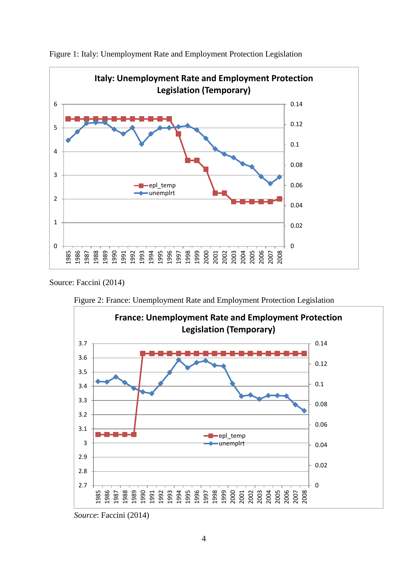

Figure 1: Italy: Unemployment Rate and Employment Protection Legislation

Source: Faccini (2014)





*Source*: Faccini (2014)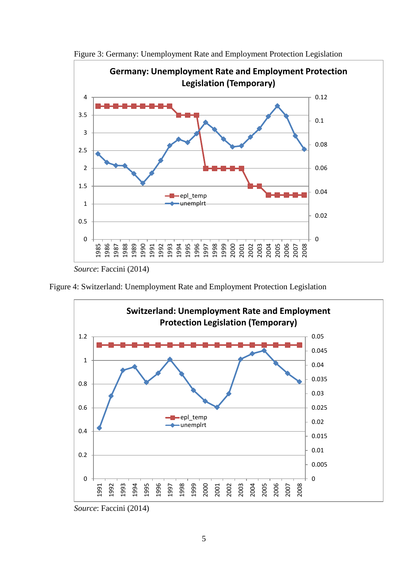

Figure 3: Germany: Unemployment Rate and Employment Protection Legislation

*Source*: Faccini (2014)





*Source*: Faccini (2014)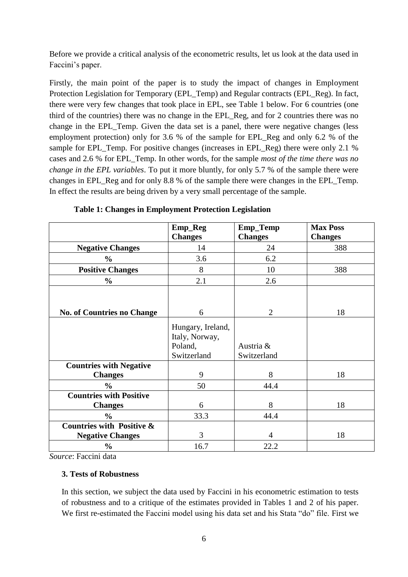Before we provide a critical analysis of the econometric results, let us look at the data used in Faccini's paper.

Firstly, the main point of the paper is to study the impact of changes in Employment Protection Legislation for Temporary (EPL\_Temp) and Regular contracts (EPL\_Reg). In fact, there were very few changes that took place in EPL, see Table 1 below. For 6 countries (one third of the countries) there was no change in the EPL\_Reg, and for 2 countries there was no change in the EPL\_Temp. Given the data set is a panel, there were negative changes (less employment protection) only for 3.6 % of the sample for EPL\_Reg and only 6.2 % of the sample for EPL Temp. For positive changes (increases in EPL Reg) there were only 2.1 % cases and 2.6 % for EPL\_Temp. In other words, for the sample *most of the time there was no change in the EPL variables*. To put it more bluntly, for only 5.7 % of the sample there were changes in EPL\_Reg and for only 8.8 % of the sample there were changes in the EPL\_Temp. In effect the results are being driven by a very small percentage of the sample.

|                                      | Emp_Reg           | Emp_Temp       | <b>Max Poss</b> |
|--------------------------------------|-------------------|----------------|-----------------|
|                                      | <b>Changes</b>    | <b>Changes</b> | <b>Changes</b>  |
| <b>Negative Changes</b>              | 14                | 24             | 388             |
| $\frac{0}{0}$                        | 3.6               | 6.2            |                 |
| <b>Positive Changes</b>              | 8                 | 10             | 388             |
| $\frac{6}{10}$                       | 2.1               | 2.6            |                 |
|                                      |                   |                |                 |
|                                      |                   |                |                 |
| <b>No. of Countries no Change</b>    | 6                 | $\overline{2}$ | 18              |
|                                      | Hungary, Ireland, |                |                 |
|                                      | Italy, Norway,    |                |                 |
|                                      | Poland,           | Austria &      |                 |
|                                      | Switzerland       | Switzerland    |                 |
| <b>Countries with Negative</b>       |                   |                |                 |
| <b>Changes</b>                       | 9                 | 8              | 18              |
| $\frac{0}{0}$                        | 50                | 44.4           |                 |
| <b>Countries with Positive</b>       |                   |                |                 |
| <b>Changes</b>                       | 6                 | 8              | 18              |
| $\frac{0}{0}$                        | 33.3              | 44.4           |                 |
| <b>Countries with Positive &amp;</b> |                   |                |                 |
| <b>Negative Changes</b>              | 3                 | $\overline{4}$ | 18              |
| $\frac{1}{2}$                        | 16.7              | 22.2           |                 |

**Table 1: Changes in Employment Protection Legislation**

*Source*: Faccini data

#### **3. Tests of Robustness**

In this section, we subject the data used by Faccini in his econometric estimation to tests of robustness and to a critique of the estimates provided in Tables 1 and 2 of his paper. We first re-estimated the Faccini model using his data set and his Stata "do" file. First we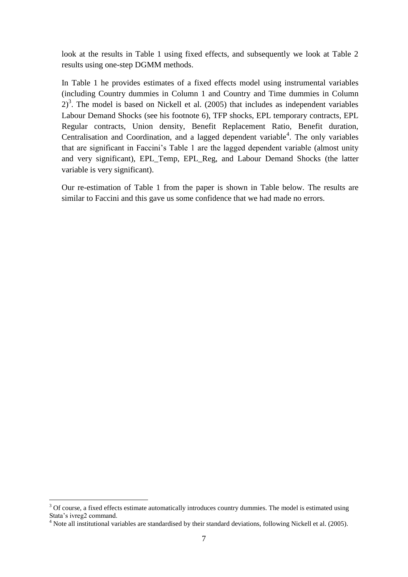look at the results in Table 1 using fixed effects, and subsequently we look at Table 2 results using one-step DGMM methods.

In Table 1 he provides estimates of a fixed effects model using instrumental variables (including Country dummies in Column 1 and Country and Time dummies in Column  $2^3$ . The model is based on Nickell et al. (2005) that includes as independent variables Labour Demand Shocks (see his footnote 6), TFP shocks, EPL temporary contracts, EPL Regular contracts, Union density, Benefit Replacement Ratio, Benefit duration, Centralisation and Coordination, and a lagged dependent variable<sup>4</sup>. The only variables that are significant in Faccini's Table 1 are the lagged dependent variable (almost unity and very significant), EPL\_Temp, EPL\_Reg, and Labour Demand Shocks (the latter variable is very significant).

Our re-estimation of Table 1 from the paper is shown in Table below. The results are similar to Faccini and this gave us some confidence that we had made no errors.

<u>.</u>

 $3$  Of course, a fixed effects estimate automatically introduces country dummies. The model is estimated using Stata's ivreg2 command.

 $4$  Note all institutional variables are standardised by their standard deviations, following Nickell et al. (2005).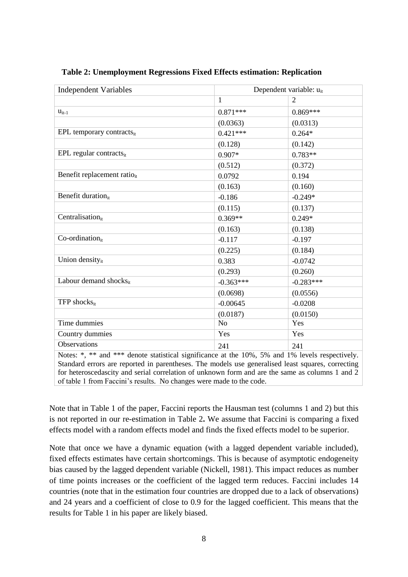| <b>Independent Variables</b>                                                                    | Dependent variable: u <sub>it</sub> |                |  |
|-------------------------------------------------------------------------------------------------|-------------------------------------|----------------|--|
|                                                                                                 | $\mathbf{1}$                        | $\overline{2}$ |  |
| $u_{it-1}$                                                                                      | $0.871***$                          | $0.869***$     |  |
|                                                                                                 | (0.0363)                            | (0.0313)       |  |
| EPL temporary contracts <sub>it</sub>                                                           | $0.421***$                          | $0.264*$       |  |
|                                                                                                 | (0.128)                             | (0.142)        |  |
| EPL regular contracts <sub>it</sub>                                                             | $0.907*$                            | $0.783**$      |  |
|                                                                                                 | (0.512)                             | (0.372)        |  |
| Benefit replacement ratio <sub>it</sub>                                                         | 0.0792                              | 0.194          |  |
|                                                                                                 | (0.163)                             | (0.160)        |  |
| Benefit duration <sub>it</sub>                                                                  | $-0.186$                            | $-0.249*$      |  |
|                                                                                                 | (0.115)                             | (0.137)        |  |
| Centralisation <sub>it</sub>                                                                    | $0.369**$                           | $0.249*$       |  |
|                                                                                                 | (0.163)                             | (0.138)        |  |
| $Co-ordinate$                                                                                   | $-0.117$                            | $-0.197$       |  |
|                                                                                                 | (0.225)                             | (0.184)        |  |
| Union densityit                                                                                 | 0.383                               | $-0.0742$      |  |
|                                                                                                 | (0.293)                             | (0.260)        |  |
| Labour demand shocksit                                                                          | $-0.363***$                         | $-0.283***$    |  |
|                                                                                                 | (0.0698)                            | (0.0556)       |  |
| TFP shocks $_{it}$                                                                              | $-0.00645$                          | $-0.0208$      |  |
|                                                                                                 | (0.0187)                            | (0.0150)       |  |
| Time dummies                                                                                    | N <sub>o</sub>                      | Yes            |  |
| Country dummies                                                                                 | Yes                                 | Yes            |  |
| Observations                                                                                    | 241                                 | 241            |  |
| Notes: *, ** and *** denote statistical significance at the 10%, 5% and 1% levels respectively. |                                     |                |  |

**Table 2: Unemployment Regressions Fixed Effects estimation: Replication**

Standard errors are reported in parentheses. The models use generalised least squares, correcting for heteroscedascity and serial correlation of unknown form and are the same as columns 1 and 2 of table 1 from Faccini's results. No changes were made to the code.

Note that in Table 1 of the paper, Faccini reports the Hausman test (columns 1 and 2) but this is not reported in our re-estimation in Table 2**.** We assume that Faccini is comparing a fixed effects model with a random effects model and finds the fixed effects model to be superior.

Note that once we have a dynamic equation (with a lagged dependent variable included), fixed effects estimates have certain shortcomings. This is because of asymptotic endogeneity bias caused by the lagged dependent variable (Nickell, 1981). This impact reduces as number of time points increases or the coefficient of the lagged term reduces. Faccini includes 14 countries (note that in the estimation four countries are dropped due to a lack of observations) and 24 years and a coefficient of close to 0.9 for the lagged coefficient. This means that the results for Table 1 in his paper are likely biased.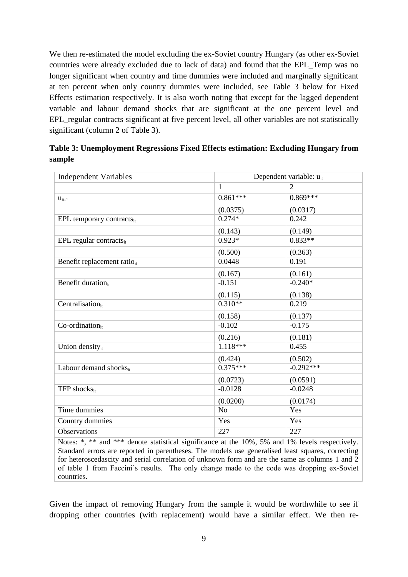We then re-estimated the model excluding the ex-Soviet country Hungary (as other ex-Soviet countries were already excluded due to lack of data) and found that the EPL\_Temp was no longer significant when country and time dummies were included and marginally significant at ten percent when only country dummies were included, see Table 3 below for Fixed Effects estimation respectively. It is also worth noting that except for the lagged dependent variable and labour demand shocks that are significant at the one percent level and EPL\_regular contracts significant at five percent level, all other variables are not statistically significant (column 2 of Table 3).

|        | Table 3: Unemployment Regressions Fixed Effects estimation: Excluding Hungary from |
|--------|------------------------------------------------------------------------------------|
| sample |                                                                                    |
|        |                                                                                    |

| <b>Independent Variables</b>            | Dependent variable: u <sub>it</sub> |                |
|-----------------------------------------|-------------------------------------|----------------|
|                                         | $\mathbf{1}$                        | $\overline{2}$ |
| $u_{it-1}$                              | $0.861***$                          | $0.869***$     |
|                                         | (0.0375)                            | (0.0317)       |
| EPL temporary contracts $_{it}$         | $0.274*$                            | 0.242          |
|                                         | (0.143)                             | (0.149)        |
| $EPL$ regular contracts <sub>it</sub>   | $0.923*$                            | $0.833**$      |
|                                         | (0.500)                             | (0.363)        |
| Benefit replacement ratio <sub>it</sub> | 0.0448                              | 0.191          |
|                                         | (0.167)                             | (0.161)        |
| Benefit duration <sub>it</sub>          | $-0.151$                            | $-0.240*$      |
|                                         | (0.115)                             | (0.138)        |
| Centralisation <sub>it</sub>            | $0.310**$                           | 0.219          |
|                                         | (0.158)                             | (0.137)        |
| Co-ordination <sub>it</sub>             | $-0.102$                            | $-0.175$       |
|                                         | (0.216)                             | (0.181)        |
| Union density <sub>it</sub>             | $1.118***$                          | 0.455          |
|                                         | (0.424)                             | (0.502)        |
| Labour demand shocksit                  | $0.375***$                          | $-0.292***$    |
|                                         | (0.0723)                            | (0.0591)       |
| TFP shocks <sub>it</sub>                | $-0.0128$                           | $-0.0248$      |
|                                         | (0.0200)                            | (0.0174)       |
| Time dummies                            | N <sub>o</sub>                      | Yes            |
| Country dummies                         | Yes                                 | Yes            |
| Observations                            | 227                                 | 227            |

Notes: \*, \*\* and \*\*\* denote statistical significance at the 10%, 5% and 1% levels respectively. Standard errors are reported in parentheses. The models use generalised least squares, correcting for heteroscedascity and serial correlation of unknown form and are the same as columns 1 and 2 of table 1 from Faccini's results. The only change made to the code was dropping ex-Soviet countries.

Given the impact of removing Hungary from the sample it would be worthwhile to see if dropping other countries (with replacement) would have a similar effect. We then re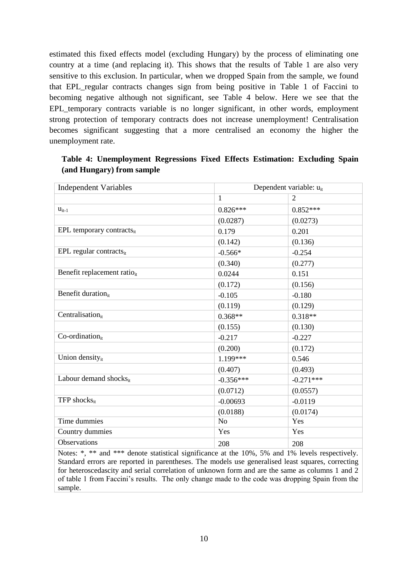estimated this fixed effects model (excluding Hungary) by the process of eliminating one country at a time (and replacing it). This shows that the results of Table 1 are also very sensitive to this exclusion. In particular, when we dropped Spain from the sample, we found that EPL\_regular contracts changes sign from being positive in Table 1 of Faccini to becoming negative although not significant, see Table 4 below. Here we see that the EPL\_temporary contracts variable is no longer significant, in other words, employment strong protection of temporary contracts does not increase unemployment! Centralisation becomes significant suggesting that a more centralised an economy the higher the unemployment rate.

| <b>Independent Variables</b>            |                | Dependent variable: u <sub>it</sub> |  |
|-----------------------------------------|----------------|-------------------------------------|--|
|                                         | $\mathbf{1}$   | $\overline{2}$                      |  |
| $u_{it-1}$                              | $0.826***$     | $0.852***$                          |  |
|                                         | (0.0287)       | (0.0273)                            |  |
| EPL temporary contracts $_{it}$         | 0.179          | 0.201                               |  |
|                                         | (0.142)        | (0.136)                             |  |
| $EPL$ regular contracts <sub>it</sub>   | $-0.566*$      | $-0.254$                            |  |
|                                         | (0.340)        | (0.277)                             |  |
| Benefit replacement ratio <sub>it</sub> | 0.0244         | 0.151                               |  |
|                                         | (0.172)        | (0.156)                             |  |
| Benefit duration <sub>it</sub>          | $-0.105$       | $-0.180$                            |  |
|                                         | (0.119)        | (0.129)                             |  |
| Centralisation <sub>it</sub>            | $0.368**$      | $0.318**$                           |  |
|                                         | (0.155)        | (0.130)                             |  |
| $Co-ordinate$                           | $-0.217$       | $-0.227$                            |  |
|                                         | (0.200)        | (0.172)                             |  |
| Union density <sub>it</sub>             | 1.199***       | 0.546                               |  |
|                                         | (0.407)        | (0.493)                             |  |
| Labour demand shocksit                  | $-0.356***$    | $-0.271***$                         |  |
|                                         | (0.0712)       | (0.0557)                            |  |
| TFP shocks <sub>it</sub>                | $-0.00693$     | $-0.0119$                           |  |
|                                         | (0.0188)       | (0.0174)                            |  |
| Time dummies                            | N <sub>o</sub> | Yes                                 |  |
| Country dummies                         | Yes            | Yes                                 |  |
| Observations                            | 208            | 208                                 |  |

#### **Table 4: Unemployment Regressions Fixed Effects Estimation: Excluding Spain (and Hungary) from sample**

Notes: \*, \*\* and \*\*\* denote statistical significance at the 10%, 5% and 1% levels respectively. Standard errors are reported in parentheses. The models use generalised least squares, correcting for heteroscedascity and serial correlation of unknown form and are the same as columns 1 and 2 of table 1 from Faccini's results. The only change made to the code was dropping Spain from the sample.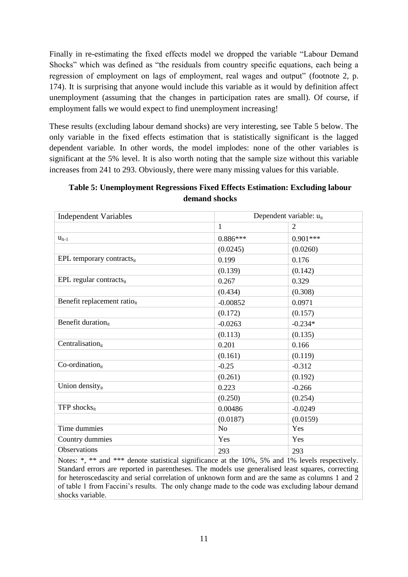Finally in re-estimating the fixed effects model we dropped the variable "Labour Demand Shocks" which was defined as "the residuals from country specific equations, each being a regression of employment on lags of employment, real wages and output" (footnote 2, p. 174). It is surprising that anyone would include this variable as it would by definition affect unemployment (assuming that the changes in participation rates are small). Of course, if employment falls we would expect to find unemployment increasing!

These results (excluding labour demand shocks) are very interesting, see Table 5 below. The only variable in the fixed effects estimation that is statistically significant is the lagged dependent variable. In other words, the model implodes: none of the other variables is significant at the 5% level. It is also worth noting that the sample size without this variable increases from 241 to 293. Obviously, there were many missing values for this variable.

| <b>Independent Variables</b>            |                | Dependent variable: u <sub>it</sub> |  |
|-----------------------------------------|----------------|-------------------------------------|--|
|                                         | $\mathbf{1}$   | $\overline{2}$                      |  |
| $u_{it-1}$                              | $0.886***$     | $0.901***$                          |  |
|                                         | (0.0245)       | (0.0260)                            |  |
| EPL temporary contracts $_{it}$         | 0.199          | 0.176                               |  |
|                                         | (0.139)        | (0.142)                             |  |
| $EPL$ regular contracts <sub>it</sub>   | 0.267          | 0.329                               |  |
|                                         | (0.434)        | (0.308)                             |  |
| Benefit replacement ratio <sub>it</sub> | $-0.00852$     | 0.0971                              |  |
|                                         | (0.172)        | (0.157)                             |  |
| Benefit duration <sub>it</sub>          | $-0.0263$      | $-0.234*$                           |  |
|                                         | (0.113)        | (0.135)                             |  |
| Centralisationit                        | 0.201          | 0.166                               |  |
|                                         | (0.161)        | (0.119)                             |  |
| $Co-ordinate$                           | $-0.25$        | $-0.312$                            |  |
|                                         | (0.261)        | (0.192)                             |  |
| Union density <sub>it</sub>             | 0.223          | $-0.266$                            |  |
|                                         | (0.250)        | (0.254)                             |  |
| TFP shocks $_{it}$                      | 0.00486        | $-0.0249$                           |  |
|                                         | (0.0187)       | (0.0159)                            |  |
| Time dummies                            | N <sub>o</sub> | Yes                                 |  |
| Country dummies                         | Yes            | Yes                                 |  |
| Observations                            | 293            | 293                                 |  |

# **Table 5: Unemployment Regressions Fixed Effects Estimation: Excluding labour demand shocks**

Notes: \*, \*\* and \*\*\* denote statistical significance at the 10%, 5% and 1% levels respectively. Standard errors are reported in parentheses. The models use generalised least squares, correcting for heteroscedascity and serial correlation of unknown form and are the same as columns 1 and 2 of table 1 from Faccini's results. The only change made to the code was excluding labour demand shocks variable.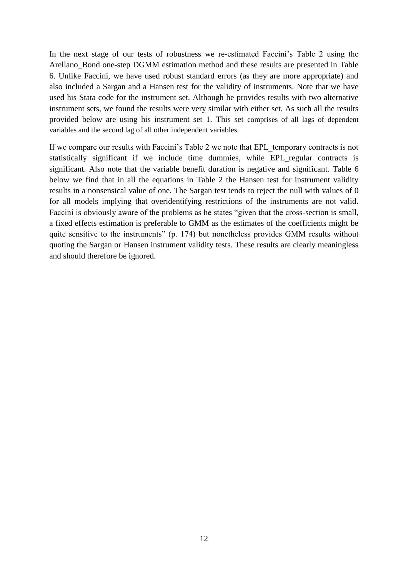In the next stage of our tests of robustness we re-estimated Faccini's Table 2 using the Arellano\_Bond one-step DGMM estimation method and these results are presented in Table 6. Unlike Faccini, we have used robust standard errors (as they are more appropriate) and also included a Sargan and a Hansen test for the validity of instruments. Note that we have used his Stata code for the instrument set. Although he provides results with two alternative instrument sets, we found the results were very similar with either set. As such all the results provided below are using his instrument set 1. This set comprises of all lags of dependent variables and the second lag of all other independent variables.

If we compare our results with Faccini's Table 2 we note that EPL\_temporary contracts is not statistically significant if we include time dummies, while EPL\_regular contracts is significant. Also note that the variable benefit duration is negative and significant. Table 6 below we find that in all the equations in Table 2 the Hansen test for instrument validity results in a nonsensical value of one. The Sargan test tends to reject the null with values of 0 for all models implying that overidentifying restrictions of the instruments are not valid. Faccini is obviously aware of the problems as he states "given that the cross-section is small, a fixed effects estimation is preferable to GMM as the estimates of the coefficients might be quite sensitive to the instruments" (p. 174) but nonetheless provides GMM results without quoting the Sargan or Hansen instrument validity tests. These results are clearly meaningless and should therefore be ignored.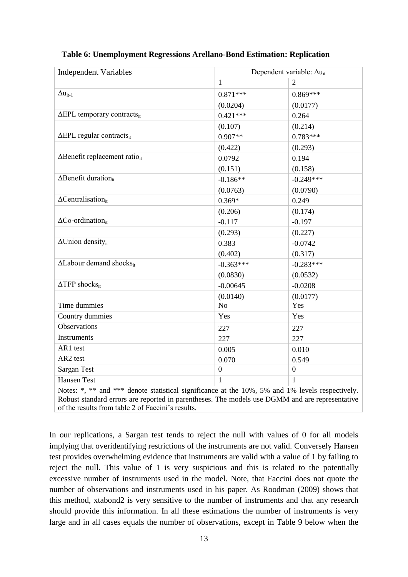| <b>Independent Variables</b>                                                                    | Dependent variable: $\Delta u_{it}$ |                  |  |
|-------------------------------------------------------------------------------------------------|-------------------------------------|------------------|--|
|                                                                                                 | $\mathbf{1}$                        | $\overline{2}$   |  |
| $\Delta u_{it-1}$                                                                               | $0.871***$                          | $0.869***$       |  |
|                                                                                                 | (0.0204)                            | (0.0177)         |  |
| $\Delta EPL$ temporary contracts <sub>it</sub>                                                  | $0.421***$                          | 0.264            |  |
|                                                                                                 | (0.107)                             | (0.214)          |  |
| $\overline{\Delta EPL}$ regular contracts <sub>it</sub>                                         | $0.907**$                           | $0.783***$       |  |
|                                                                                                 | (0.422)                             | (0.293)          |  |
| $\Delta$ Benefit replacement ratio <sub>it</sub>                                                | 0.0792                              | 0.194            |  |
|                                                                                                 | (0.151)                             | (0.158)          |  |
| $\overline{\Delta}$ Benefit duration <sub>it</sub>                                              | $-0.186**$                          | $-0.249***$      |  |
|                                                                                                 | (0.0763)                            | (0.0790)         |  |
| $\Delta$ Centralisation <sub>it</sub>                                                           | $0.369*$                            | 0.249            |  |
|                                                                                                 | (0.206)                             | (0.174)          |  |
| $\Delta$ Co-ordination <sub>it</sub>                                                            | $-0.117$                            | $-0.197$         |  |
|                                                                                                 | (0.293)                             | (0.227)          |  |
| $\Delta$ Union density <sub>it</sub>                                                            | 0.383                               | $-0.0742$        |  |
|                                                                                                 | (0.402)                             | (0.317)          |  |
| $\Delta$ Labour demand shocks <sub>it</sub>                                                     | $-0.363***$                         | $-0.283***$      |  |
|                                                                                                 | (0.0830)                            | (0.0532)         |  |
| $\triangle TFP$ shocks <sub>it</sub>                                                            | $-0.00645$                          | $-0.0208$        |  |
|                                                                                                 | (0.0140)                            | (0.0177)         |  |
| Time dummies                                                                                    | N <sub>o</sub>                      | Yes              |  |
| Country dummies                                                                                 | Yes                                 | Yes              |  |
| <b>Observations</b>                                                                             | 227                                 | 227              |  |
| Instruments                                                                                     | 227                                 | 227              |  |
| AR1 test                                                                                        | 0.005                               | 0.010            |  |
| AR2 test                                                                                        | 0.070                               | 0.549            |  |
| Sargan Test                                                                                     | $\boldsymbol{0}$                    | $\boldsymbol{0}$ |  |
| <b>Hansen Test</b>                                                                              | $\mathbf{1}$                        | 1                |  |
| Notes: *, ** and *** denote statistical significance at the 10%, 5% and 1% levels respectively. |                                     |                  |  |

#### **Table 6: Unemployment Regressions Arellano-Bond Estimation: Replication**

Robust standard errors are reported in parentheses. The models use DGMM and are representative of the results from table 2 of Faccini's results.

In our replications, a Sargan test tends to reject the null with values of 0 for all models implying that overidentifying restrictions of the instruments are not valid. Conversely Hansen test provides overwhelming evidence that instruments are valid with a value of 1 by failing to reject the null. This value of 1 is very suspicious and this is related to the potentially excessive number of instruments used in the model. Note, that Faccini does not quote the number of observations and instruments used in his paper. As Roodman (2009) shows that this method, xtabond2 is very sensitive to the number of instruments and that any research should provide this information. In all these estimations the number of instruments is very large and in all cases equals the number of observations, except in Table 9 below when the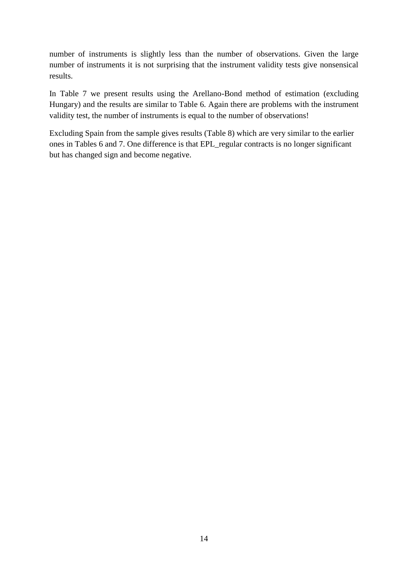number of instruments is slightly less than the number of observations. Given the large number of instruments it is not surprising that the instrument validity tests give nonsensical results.

In Table 7 we present results using the Arellano-Bond method of estimation (excluding Hungary) and the results are similar to Table 6. Again there are problems with the instrument validity test, the number of instruments is equal to the number of observations!

Excluding Spain from the sample gives results (Table 8) which are very similar to the earlier ones in Tables 6 and 7. One difference is that EPL\_regular contracts is no longer significant but has changed sign and become negative.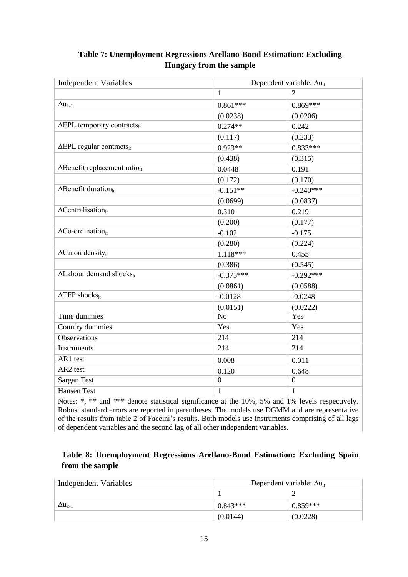| $\mathbf{1}$<br>$\Delta u_{it-1}$                | $0.861***$  | $\overline{2}$   |
|--------------------------------------------------|-------------|------------------|
|                                                  |             |                  |
|                                                  |             | $0.869***$       |
|                                                  | (0.0238)    | (0.0206)         |
| $\Delta EPL$ temporary contracts <sub>it</sub>   | $0.274**$   | 0.242            |
|                                                  | (0.117)     | (0.233)          |
| $\Delta EPL$ regular contracts <sub>it</sub>     | $0.923**$   | $0.833***$       |
|                                                  | (0.438)     | (0.315)          |
| $\Delta$ Benefit replacement ratio <sub>it</sub> | 0.0448      | 0.191            |
|                                                  | (0.172)     | (0.170)          |
| $\Delta$ Benefit duration <sub>it</sub>          | $-0.151**$  | $-0.240***$      |
|                                                  | (0.0699)    | (0.0837)         |
| $\Delta$ Centralisation <sub>it</sub>            | 0.310       | 0.219            |
|                                                  | (0.200)     | (0.177)          |
| $\Delta$ Co-ordination <sub>it</sub>             | $-0.102$    | $-0.175$         |
|                                                  | (0.280)     | (0.224)          |
| $\overline{\Delta$ Union density <sub>it</sub>   | $1.118***$  | 0.455            |
|                                                  | (0.386)     | (0.545)          |
| $\Delta$ Labour demand shocks <sub>it</sub>      | $-0.375***$ | $-0.292***$      |
|                                                  | (0.0861)    | (0.0588)         |
| $\triangle TFP$ shocks <sub>it</sub>             | $-0.0128$   | $-0.0248$        |
|                                                  | (0.0151)    | (0.0222)         |
| Time dummies<br>N <sub>o</sub>                   |             | Yes              |
| Country dummies<br>Yes                           |             | Yes              |
| <b>Observations</b><br>214                       |             | 214              |
| Instruments<br>214                               |             | 214              |
| AR1 test                                         | 0.008       | 0.011            |
| AR2 test                                         | 0.120       | 0.648            |
| <b>Sargan Test</b><br>$\boldsymbol{0}$           |             | $\boldsymbol{0}$ |
| <b>Hansen Test</b><br>$\mathbf{1}$               |             | $\mathbf{1}$     |

# **Table 7: Unemployment Regressions Arellano-Bond Estimation: Excluding Hungary from the sample**

Notes: \*, \*\* and \*\*\* denote statistical significance at the 10%, 5% and 1% levels respectively. Robust standard errors are reported in parentheses. The models use DGMM and are representative of the results from table 2 of Faccini's results. Both models use instruments comprising of all lags of dependent variables and the second lag of all other independent variables.

# **Table 8: Unemployment Regressions Arellano-Bond Estimation: Excluding Spain from the sample**

| Independent Variables | Dependent variable: $\Delta u_{it}$ |            |
|-----------------------|-------------------------------------|------------|
|                       |                                     |            |
| $\Delta u_{it-1}$     | $0.843***$                          | $0.859***$ |
|                       | (0.0144)                            | (0.0228)   |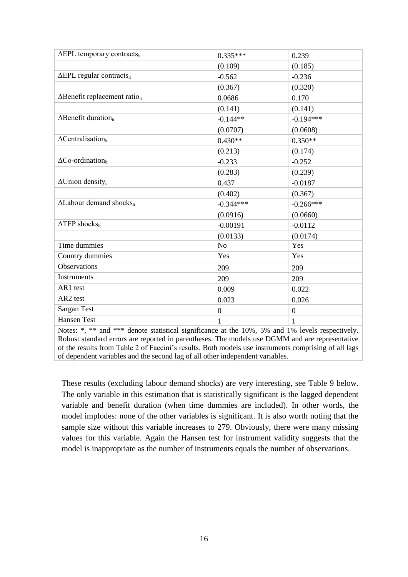| $\Delta EPL$ temporary contracts <sub>it</sub>                                                        | $0.335***$       | 0.239            |  |
|-------------------------------------------------------------------------------------------------------|------------------|------------------|--|
|                                                                                                       | (0.109)          | (0.185)          |  |
| $\Delta EPL$ regular contracts <sub>it</sub>                                                          | $-0.562$         | $-0.236$         |  |
|                                                                                                       | (0.367)          | (0.320)          |  |
| $\Delta$ Benefit replacement ratio <sub>it</sub>                                                      | 0.0686           | 0.170            |  |
|                                                                                                       | (0.141)          | (0.141)          |  |
| $\Delta$ Benefit duration <sub>it</sub>                                                               | $-0.144**$       | $-0.194***$      |  |
|                                                                                                       | (0.0707)         | (0.0608)         |  |
| $\Delta$ Centralisation <sub>it</sub>                                                                 | $0.430**$        | $0.350**$        |  |
|                                                                                                       | (0.213)          | (0.174)          |  |
| $\Delta$ Co-ordination <sub>it</sub>                                                                  | $-0.233$         | $-0.252$         |  |
|                                                                                                       | (0.283)          | (0.239)          |  |
| $\Delta$ Union density <sub>it</sub>                                                                  | 0.437            | $-0.0187$        |  |
|                                                                                                       | (0.402)          | (0.367)          |  |
| $\Delta$ Labour demand shocks <sub>it</sub>                                                           | $-0.344***$      | $-0.266***$      |  |
|                                                                                                       | (0.0916)         | (0.0660)         |  |
| $\triangle TFP$ shocks <sub>it</sub>                                                                  | $-0.00191$       | $-0.0112$        |  |
|                                                                                                       | (0.0133)         | (0.0174)         |  |
| Time dummies                                                                                          | N <sub>o</sub>   | Yes              |  |
| Country dummies                                                                                       | Yes              | Yes              |  |
| <b>Observations</b>                                                                                   | 209              | 209              |  |
| Instruments                                                                                           | 209              | 209              |  |
| AR1 test                                                                                              | 0.009            | 0.022            |  |
| AR2 test                                                                                              | 0.023            | 0.026            |  |
| <b>Sargan Test</b>                                                                                    | $\boldsymbol{0}$ | $\boldsymbol{0}$ |  |
| <b>Hansen Test</b>                                                                                    | 1                | 1                |  |
| Notes: $* * *$ and $** *$ denote statistical significance at the $10\%$ 5% and 1% levels respectively |                  |                  |  |

Notes: \*, \*\* and \*\*\* denote statistical significance at the 10%, 5% and 1% levels respectively. Robust standard errors are reported in parentheses. The models use DGMM and are representative of the results from Table 2 of Faccini's results. Both models use instruments comprising of all lags of dependent variables and the second lag of all other independent variables.

These results (excluding labour demand shocks) are very interesting, see Table 9 below. The only variable in this estimation that is statistically significant is the lagged dependent variable and benefit duration (when time dummies are included). In other words, the model implodes: none of the other variables is significant. It is also worth noting that the sample size without this variable increases to 279. Obviously, there were many missing values for this variable. Again the Hansen test for instrument validity suggests that the model is inappropriate as the number of instruments equals the number of observations.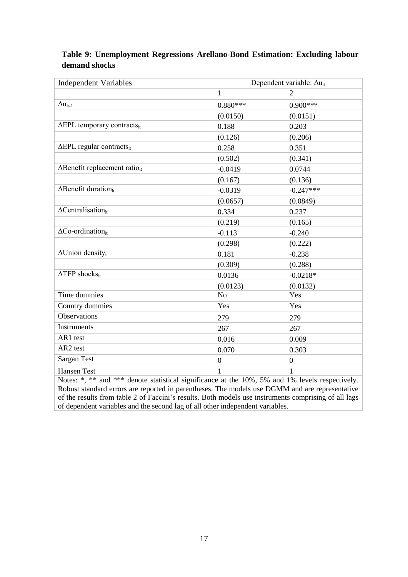### **Table 9: Unemployment Regressions Arellano-Bond Estimation: Excluding labour demand shocks**

| <b>Independent Variables</b>                                                                    | Dependent variable: $\Delta u_{it}$ |                  |  |
|-------------------------------------------------------------------------------------------------|-------------------------------------|------------------|--|
|                                                                                                 | $\mathbf{1}$                        | $\overline{2}$   |  |
| $\Delta u_{it-1}$                                                                               | $0.880***$                          | $0.900***$       |  |
|                                                                                                 | (0.0150)                            | (0.0151)         |  |
| $\Delta EPL$ temporary contracts <sub>it</sub>                                                  | 0.188                               | 0.203            |  |
|                                                                                                 | (0.126)                             | (0.206)          |  |
| $\Delta EPL$ regular contracts <sub>it</sub>                                                    | 0.258                               | 0.351            |  |
|                                                                                                 | (0.502)                             | (0.341)          |  |
| $\triangle$ Benefit replacement ratio <sub>it</sub>                                             | $-0.0419$                           | 0.0744           |  |
|                                                                                                 | (0.167)                             | (0.136)          |  |
| $\Delta$ Benefit duration <sub>it</sub>                                                         | $-0.0319$                           | $-0.247***$      |  |
|                                                                                                 | (0.0657)                            | (0.0849)         |  |
| $\Delta$ Centralisation <sub>it</sub>                                                           | 0.334                               | 0.237            |  |
|                                                                                                 | (0.219)                             | (0.165)          |  |
| $\Delta$ Co-ordination <sub>it</sub>                                                            | $-0.113$                            | $-0.240$         |  |
|                                                                                                 | (0.298)                             | (0.222)          |  |
| $\Delta$ Union density <sub>it</sub>                                                            | 0.181                               | $-0.238$         |  |
|                                                                                                 | (0.309)                             | (0.288)          |  |
| $\triangle TFP$ shocks <sub>it</sub>                                                            | 0.0136                              | $-0.0218*$       |  |
|                                                                                                 | (0.0123)                            | (0.0132)         |  |
| Time dummies                                                                                    | No                                  | Yes              |  |
| Country dummies                                                                                 | Yes                                 | Yes              |  |
| <b>Observations</b>                                                                             | 279                                 | 279              |  |
| <b>Instruments</b>                                                                              | 267                                 | 267              |  |
| AR1 test                                                                                        | 0.016                               | 0.009            |  |
| AR2 test                                                                                        | 0.070                               | 0.303            |  |
| Sargan Test                                                                                     | $\boldsymbol{0}$                    | $\boldsymbol{0}$ |  |
| <b>Hansen Test</b>                                                                              | 1                                   | 1                |  |
| Notes: *, ** and *** denote statistical significance at the 10%, 5% and 1% levels respectively. |                                     |                  |  |

Robust standard errors are reported in parentheses. The models use DGMM and are representative of the results from table 2 of Faccini's results. Both models use instruments comprising of all lags of dependent variables and the second lag of all other independent variables.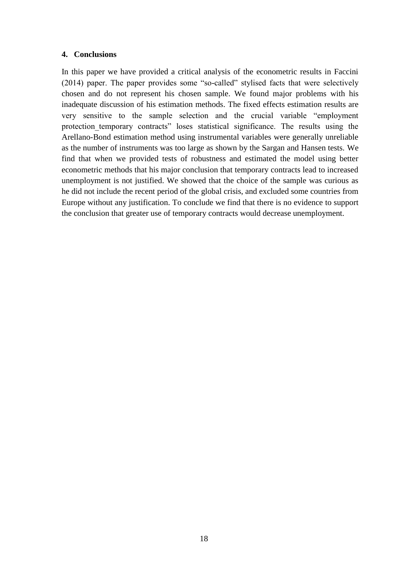#### **4. Conclusions**

In this paper we have provided a critical analysis of the econometric results in Faccini (2014) paper. The paper provides some "so-called" stylised facts that were selectively chosen and do not represent his chosen sample. We found major problems with his inadequate discussion of his estimation methods. The fixed effects estimation results are very sensitive to the sample selection and the crucial variable "employment protection temporary contracts" loses statistical significance. The results using the Arellano-Bond estimation method using instrumental variables were generally unreliable as the number of instruments was too large as shown by the Sargan and Hansen tests. We find that when we provided tests of robustness and estimated the model using better econometric methods that his major conclusion that temporary contracts lead to increased unemployment is not justified. We showed that the choice of the sample was curious as he did not include the recent period of the global crisis, and excluded some countries from Europe without any justification. To conclude we find that there is no evidence to support the conclusion that greater use of temporary contracts would decrease unemployment.